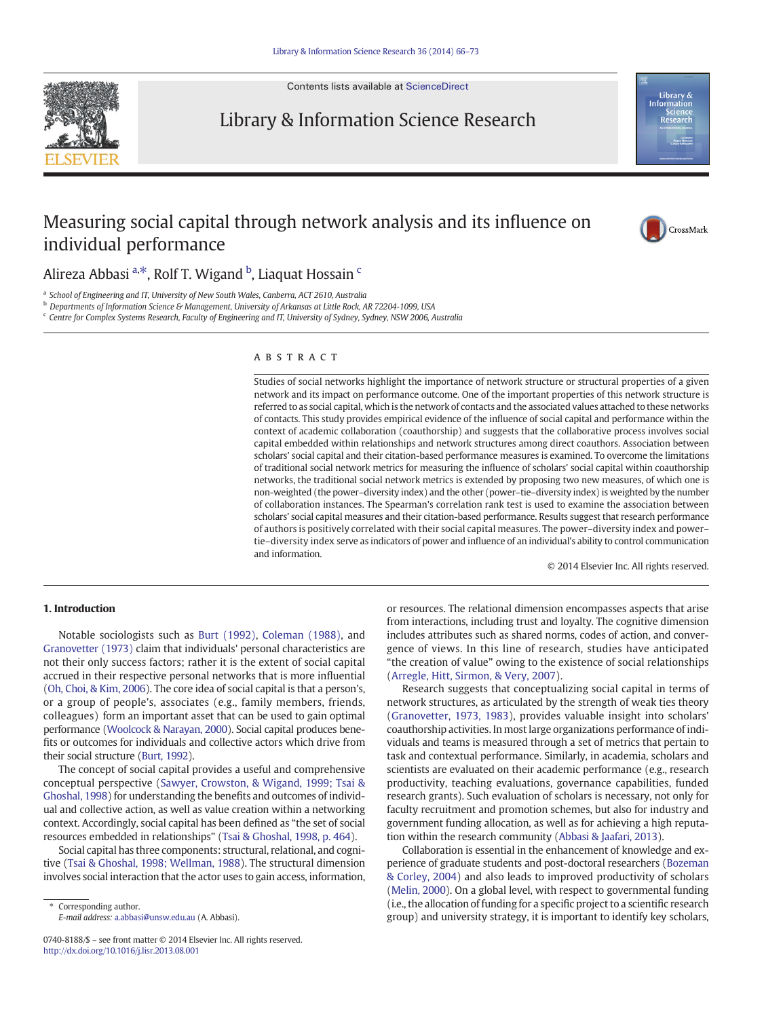Contents lists available at [ScienceDirect](http://www.sciencedirect.com/science/journal/07408188)

Library & Information Science Research



# Measuring social capital through network analysis and its influence on



## Alireza Abbasi <sup>a,\*</sup>, Rolf T. Wigand <sup>b</sup>, Liaquat Hossain <sup>c</sup>

individual performance

<sup>a</sup> School of Engineering and IT, University of New South Wales, Canberra, ACT 2610, Australia

**b** Departments of Information Science & Management, University of Arkansas at Little Rock, AR 72204-1099, USA

<sup>c</sup> Centre for Complex Systems Research, Faculty of Engineering and IT, University of Sydney, Sydney, NSW 2006, Australia

#### **ABSTRACT**

Studies of social networks highlight the importance of network structure or structural properties of a given network and its impact on performance outcome. One of the important properties of this network structure is referred to as social capital, which is the network of contacts and the associated values attached to these networks of contacts. This study provides empirical evidence of the influence of social capital and performance within the context of academic collaboration (coauthorship) and suggests that the collaborative process involves social capital embedded within relationships and network structures among direct coauthors. Association between scholars' social capital and their citation-based performance measures is examined. To overcome the limitations of traditional social network metrics for measuring the influence of scholars' social capital within coauthorship networks, the traditional social network metrics is extended by proposing two new measures, of which one is non-weighted (the power–diversity index) and the other (power–tie–diversity index) is weighted by the number of collaboration instances. The Spearman's correlation rank test is used to examine the association between scholars' social capital measures and their citation-based performance. Results suggest that research performance of authors is positively correlated with their social capital measures. The power–diversity index and power– tie–diversity index serve as indicators of power and influence of an individual's ability to control communication and information.

© 2014 Elsevier Inc. All rights reserved.

### 1. Introduction

Notable sociologists such as [Burt \(1992\),](#page-6-0) [Coleman \(1988\),](#page-6-0) and [Granovetter \(1973\)](#page-6-0) claim that individuals' personal characteristics are not their only success factors; rather it is the extent of social capital accrued in their respective personal networks that is more influential [\(Oh, Choi, & Kim, 2006](#page-6-0)). The core idea of social capital is that a person's, or a group of people's, associates (e.g., family members, friends, colleagues) form an important asset that can be used to gain optimal performance [\(Woolcock & Narayan, 2000](#page-7-0)). Social capital produces benefits or outcomes for individuals and collective actors which drive from their social structure ([Burt, 1992\)](#page-6-0).

The concept of social capital provides a useful and comprehensive conceptual perspective [\(Sawyer, Crowston, & Wigand, 1999; Tsai &](#page-6-0) [Ghoshal, 1998\)](#page-6-0) for understanding the benefits and outcomes of individual and collective action, as well as value creation within a networking context. Accordingly, social capital has been defined as "the set of social resources embedded in relationships" [\(Tsai & Ghoshal, 1998, p. 464](#page-6-0)).

Social capital has three components: structural, relational, and cognitive ([Tsai & Ghoshal, 1998; Wellman, 1988](#page-6-0)). The structural dimension involves social interaction that the actor uses to gain access, information,

⁎ Corresponding author. E-mail address: [a.abbasi@unsw.edu.au](mailto:a.abbasi@unsw.edu.au) (A. Abbasi).

0740-8188/\$ – see front matter © 2014 Elsevier Inc. All rights reserved. <http://dx.doi.org/10.1016/j.lisr.2013.08.001>

or resources. The relational dimension encompasses aspects that arise from interactions, including trust and loyalty. The cognitive dimension includes attributes such as shared norms, codes of action, and convergence of views. In this line of research, studies have anticipated "the creation of value" owing to the existence of social relationships [\(Arregle, Hitt, Sirmon, & Very, 2007](#page-6-0)).

Research suggests that conceptualizing social capital in terms of network structures, as articulated by the strength of weak ties theory [\(Granovetter, 1973, 1983\)](#page-6-0), provides valuable insight into scholars' coauthorship activities. In most large organizations performance of individuals and teams is measured through a set of metrics that pertain to task and contextual performance. Similarly, in academia, scholars and scientists are evaluated on their academic performance (e.g., research productivity, teaching evaluations, governance capabilities, funded research grants). Such evaluation of scholars is necessary, not only for faculty recruitment and promotion schemes, but also for industry and government funding allocation, as well as for achieving a high reputation within the research community ([Abbasi & Jaafari, 2013\)](#page-6-0).

Collaboration is essential in the enhancement of knowledge and experience of graduate students and post-doctoral researchers [\(Bozeman](#page-6-0) [& Corley, 2004](#page-6-0)) and also leads to improved productivity of scholars [\(Melin, 2000](#page-6-0)). On a global level, with respect to governmental funding (i.e., the allocation of funding for a specific project to a scientific research group) and university strategy, it is important to identify key scholars,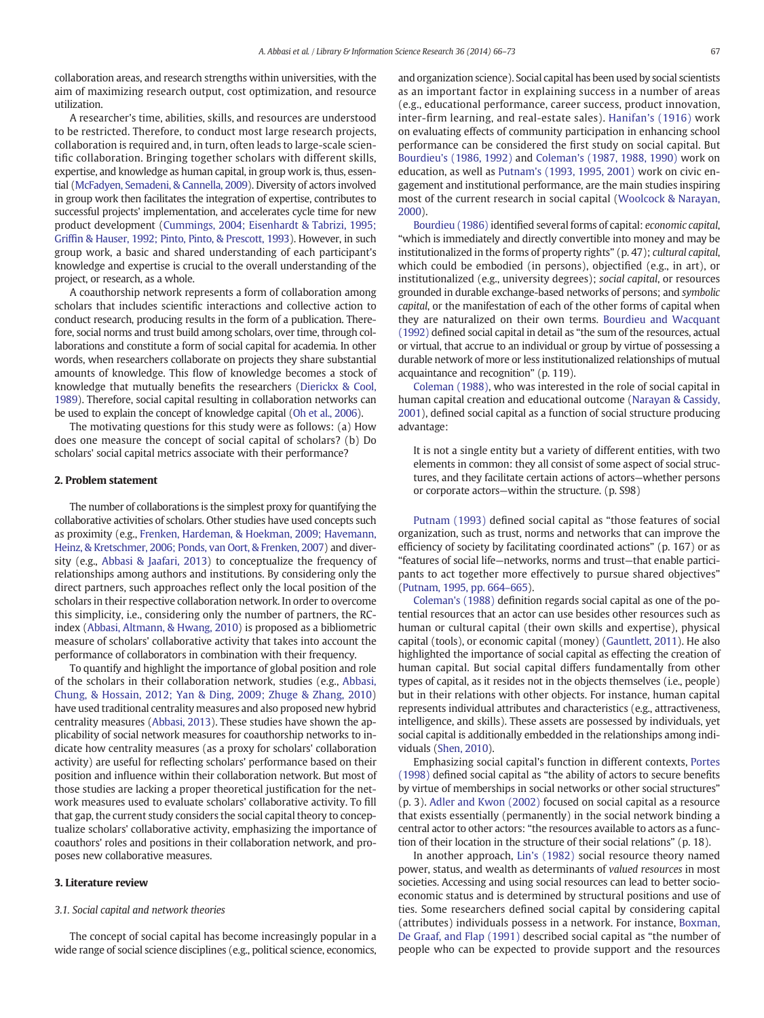collaboration areas, and research strengths within universities, with the aim of maximizing research output, cost optimization, and resource utilization.

A researcher's time, abilities, skills, and resources are understood to be restricted. Therefore, to conduct most large research projects, collaboration is required and, in turn, often leads to large-scale scientific collaboration. Bringing together scholars with different skills, expertise, and knowledge as human capital, in group work is, thus, essential ([McFadyen, Semadeni, & Cannella, 2009\)](#page-6-0). Diversity of actors involved in group work then facilitates the integration of expertise, contributes to successful projects' implementation, and accelerates cycle time for new product development [\(Cummings, 2004; Eisenhardt & Tabrizi, 1995;](#page-6-0) Griffi[n & Hauser, 1992; Pinto, Pinto, & Prescott, 1993\)](#page-6-0). However, in such group work, a basic and shared understanding of each participant's knowledge and expertise is crucial to the overall understanding of the project, or research, as a whole.

A coauthorship network represents a form of collaboration among scholars that includes scientific interactions and collective action to conduct research, producing results in the form of a publication. Therefore, social norms and trust build among scholars, over time, through collaborations and constitute a form of social capital for academia. In other words, when researchers collaborate on projects they share substantial amounts of knowledge. This flow of knowledge becomes a stock of knowledge that mutually benefits the researchers [\(Dierickx & Cool,](#page-6-0) [1989](#page-6-0)). Therefore, social capital resulting in collaboration networks can be used to explain the concept of knowledge capital [\(Oh et al., 2006](#page-6-0)).

The motivating questions for this study were as follows: (a) How does one measure the concept of social capital of scholars? (b) Do scholars' social capital metrics associate with their performance?

#### 2. Problem statement

The number of collaborations is the simplest proxy for quantifying the collaborative activities of scholars. Other studies have used concepts such as proximity (e.g., [Frenken, Hardeman, & Hoekman, 2009; Havemann,](#page-6-0) [Heinz, & Kretschmer, 2006; Ponds, van Oort, & Frenken, 2007\)](#page-6-0) and diversity (e.g., [Abbasi & Jaafari, 2013\)](#page-6-0) to conceptualize the frequency of relationships among authors and institutions. By considering only the direct partners, such approaches reflect only the local position of the scholars in their respective collaboration network. In order to overcome this simplicity, i.e., considering only the number of partners, the RCindex [\(Abbasi, Altmann, & Hwang, 2010\)](#page-6-0) is proposed as a bibliometric measure of scholars' collaborative activity that takes into account the performance of collaborators in combination with their frequency.

To quantify and highlight the importance of global position and role of the scholars in their collaboration network, studies (e.g., [Abbasi,](#page-6-0) [Chung, & Hossain, 2012; Yan & Ding, 2009; Zhuge & Zhang, 2010](#page-6-0)) have used traditional centrality measures and also proposed new hybrid centrality measures ([Abbasi, 2013](#page-6-0)). These studies have shown the applicability of social network measures for coauthorship networks to indicate how centrality measures (as a proxy for scholars' collaboration activity) are useful for reflecting scholars' performance based on their position and influence within their collaboration network. But most of those studies are lacking a proper theoretical justification for the network measures used to evaluate scholars' collaborative activity. To fill that gap, the current study considers the social capital theory to conceptualize scholars' collaborative activity, emphasizing the importance of coauthors' roles and positions in their collaboration network, and proposes new collaborative measures.

#### 3. Literature review

#### 3.1. Social capital and network theories

The concept of social capital has become increasingly popular in a wide range of social science disciplines (e.g., political science, economics, and organization science). Social capital has been used by social scientists as an important factor in explaining success in a number of areas (e.g., educational performance, career success, product innovation, inter-firm learning, and real-estate sales). [Hanifan's \(1916\)](#page-6-0) work on evaluating effects of community participation in enhancing school performance can be considered the first study on social capital. But [Bourdieu's \(1986, 1992\)](#page-6-0) and [Coleman's \(1987, 1988, 1990\)](#page-6-0) work on education, as well as [Putnam's \(1993, 1995, 2001\)](#page-6-0) work on civic engagement and institutional performance, are the main studies inspiring most of the current research in social capital [\(Woolcock & Narayan,](#page-7-0) [2000](#page-7-0)).

[Bourdieu \(1986\)](#page-6-0) identified several forms of capital: economic capital, "which is immediately and directly convertible into money and may be institutionalized in the forms of property rights" (p. 47); cultural capital, which could be embodied (in persons), objectified (e.g., in art), or institutionalized (e.g., university degrees); social capital, or resources grounded in durable exchange-based networks of persons; and symbolic capital, or the manifestation of each of the other forms of capital when they are naturalized on their own terms. [Bourdieu and Wacquant](#page-6-0) [\(1992\)](#page-6-0) defined social capital in detail as "the sum of the resources, actual or virtual, that accrue to an individual or group by virtue of possessing a durable network of more or less institutionalized relationships of mutual acquaintance and recognition" (p. 119).

[Coleman \(1988\)](#page-6-0), who was interested in the role of social capital in human capital creation and educational outcome ([Narayan & Cassidy,](#page-6-0) [2001](#page-6-0)), defined social capital as a function of social structure producing advantage:

It is not a single entity but a variety of different entities, with two elements in common: they all consist of some aspect of social structures, and they facilitate certain actions of actors—whether persons or corporate actors—within the structure. (p. S98)

[Putnam \(1993\)](#page-6-0) defined social capital as "those features of social organization, such as trust, norms and networks that can improve the efficiency of society by facilitating coordinated actions" (p. 167) or as "features of social life—networks, norms and trust—that enable participants to act together more effectively to pursue shared objectives" [\(Putnam, 1995, pp. 664](#page-6-0)–665).

[Coleman's \(1988\)](#page-6-0) definition regards social capital as one of the potential resources that an actor can use besides other resources such as human or cultural capital (their own skills and expertise), physical capital (tools), or economic capital (money) ([Gauntlett, 2011](#page-6-0)). He also highlighted the importance of social capital as effecting the creation of human capital. But social capital differs fundamentally from other types of capital, as it resides not in the objects themselves (i.e., people) but in their relations with other objects. For instance, human capital represents individual attributes and characteristics (e.g., attractiveness, intelligence, and skills). These assets are possessed by individuals, yet social capital is additionally embedded in the relationships among individuals [\(Shen, 2010\)](#page-6-0).

Emphasizing social capital's function in different contexts, [Portes](#page-6-0) [\(1998\)](#page-6-0) defined social capital as "the ability of actors to secure benefits by virtue of memberships in social networks or other social structures" (p. 3). [Adler and Kwon \(2002\)](#page-6-0) focused on social capital as a resource that exists essentially (permanently) in the social network binding a central actor to other actors: "the resources available to actors as a function of their location in the structure of their social relations" (p. 18).

In another approach, [Lin's \(1982\)](#page-6-0) social resource theory named power, status, and wealth as determinants of valued resources in most societies. Accessing and using social resources can lead to better socioeconomic status and is determined by structural positions and use of ties. Some researchers defined social capital by considering capital (attributes) individuals possess in a network. For instance, [Boxman,](#page-6-0) [De Graaf, and Flap \(1991\)](#page-6-0) described social capital as "the number of people who can be expected to provide support and the resources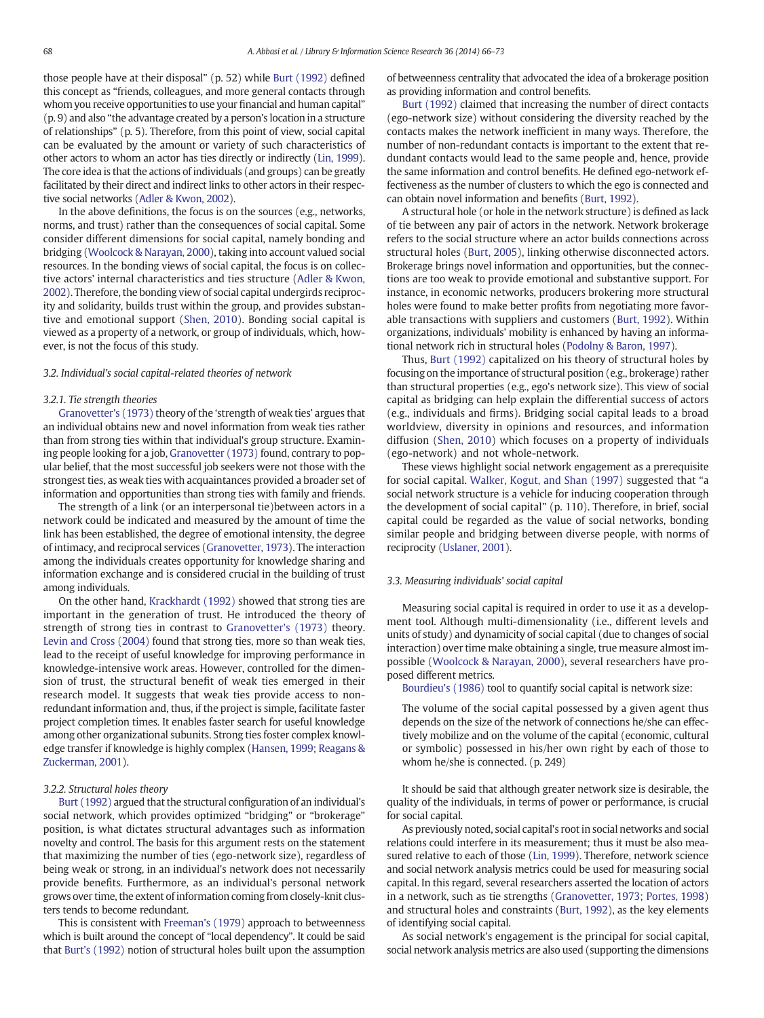those people have at their disposal" (p. 52) while [Burt \(1992\)](#page-6-0) defined this concept as "friends, colleagues, and more general contacts through whom you receive opportunities to use your financial and human capital" (p. 9) and also "the advantage created by a person's location in a structure of relationships" (p. 5). Therefore, from this point of view, social capital can be evaluated by the amount or variety of such characteristics of other actors to whom an actor has ties directly or indirectly ([Lin, 1999\)](#page-6-0). The core idea is that the actions of individuals (and groups) can be greatly facilitated by their direct and indirect links to other actors in their respective social networks ([Adler & Kwon, 2002\)](#page-6-0).

In the above definitions, the focus is on the sources (e.g., networks, norms, and trust) rather than the consequences of social capital. Some consider different dimensions for social capital, namely bonding and bridging ([Woolcock & Narayan, 2000](#page-7-0)), taking into account valued social resources. In the bonding views of social capital, the focus is on collective actors' internal characteristics and ties structure ([Adler & Kwon,](#page-6-0) [2002\)](#page-6-0). Therefore, the bonding view of social capital undergirds reciprocity and solidarity, builds trust within the group, and provides substantive and emotional support ([Shen, 2010](#page-6-0)). Bonding social capital is viewed as a property of a network, or group of individuals, which, however, is not the focus of this study.

#### 3.2. Individual's social capital-related theories of network

#### 3.2.1. Tie strength theories

[Granovetter's \(1973\)](#page-6-0) theory of the 'strength of weak ties' argues that an individual obtains new and novel information from weak ties rather than from strong ties within that individual's group structure. Examining people looking for a job, [Granovetter \(1973\)](#page-6-0) found, contrary to popular belief, that the most successful job seekers were not those with the strongest ties, as weak ties with acquaintances provided a broader set of information and opportunities than strong ties with family and friends.

The strength of a link (or an interpersonal tie)between actors in a network could be indicated and measured by the amount of time the link has been established, the degree of emotional intensity, the degree of intimacy, and reciprocal services [\(Granovetter, 1973\)](#page-6-0). The interaction among the individuals creates opportunity for knowledge sharing and information exchange and is considered crucial in the building of trust among individuals.

On the other hand, [Krackhardt \(1992\)](#page-6-0) showed that strong ties are important in the generation of trust. He introduced the theory of strength of strong ties in contrast to [Granovetter's \(1973\)](#page-6-0) theory. [Levin and Cross \(2004\)](#page-6-0) found that strong ties, more so than weak ties, lead to the receipt of useful knowledge for improving performance in knowledge-intensive work areas. However, controlled for the dimension of trust, the structural benefit of weak ties emerged in their research model. It suggests that weak ties provide access to nonredundant information and, thus, if the project is simple, facilitate faster project completion times. It enables faster search for useful knowledge among other organizational subunits. Strong ties foster complex knowledge transfer if knowledge is highly complex [\(Hansen, 1999; Reagans &](#page-6-0) [Zuckerman, 2001](#page-6-0)).

#### 3.2.2. Structural holes theory

[Burt \(1992\)](#page-6-0) argued that the structural configuration of an individual's social network, which provides optimized "bridging" or "brokerage" position, is what dictates structural advantages such as information novelty and control. The basis for this argument rests on the statement that maximizing the number of ties (ego-network size), regardless of being weak or strong, in an individual's network does not necessarily provide benefits. Furthermore, as an individual's personal network grows over time, the extent of information coming from closely-knit clusters tends to become redundant.

This is consistent with [Freeman's \(1979\)](#page-6-0) approach to betweenness which is built around the concept of "local dependency". It could be said that [Burt's \(1992\)](#page-6-0) notion of structural holes built upon the assumption of betweenness centrality that advocated the idea of a brokerage position as providing information and control benefits.

[Burt \(1992\)](#page-6-0) claimed that increasing the number of direct contacts (ego-network size) without considering the diversity reached by the contacts makes the network inefficient in many ways. Therefore, the number of non-redundant contacts is important to the extent that redundant contacts would lead to the same people and, hence, provide the same information and control benefits. He defined ego-network effectiveness as the number of clusters to which the ego is connected and can obtain novel information and benefits [\(Burt, 1992\)](#page-6-0).

A structural hole (or hole in the network structure) is defined as lack of tie between any pair of actors in the network. Network brokerage refers to the social structure where an actor builds connections across structural holes [\(Burt, 2005](#page-6-0)), linking otherwise disconnected actors. Brokerage brings novel information and opportunities, but the connections are too weak to provide emotional and substantive support. For instance, in economic networks, producers brokering more structural holes were found to make better profits from negotiating more favorable transactions with suppliers and customers [\(Burt, 1992](#page-6-0)). Within organizations, individuals' mobility is enhanced by having an informational network rich in structural holes [\(Podolny & Baron, 1997\)](#page-6-0).

Thus, [Burt \(1992\)](#page-6-0) capitalized on his theory of structural holes by focusing on the importance of structural position (e.g., brokerage) rather than structural properties (e.g., ego's network size). This view of social capital as bridging can help explain the differential success of actors (e.g., individuals and firms). Bridging social capital leads to a broad worldview, diversity in opinions and resources, and information diffusion [\(Shen, 2010](#page-6-0)) which focuses on a property of individuals (ego-network) and not whole-network.

These views highlight social network engagement as a prerequisite for social capital. [Walker, Kogut, and Shan \(1997\)](#page-6-0) suggested that "a social network structure is a vehicle for inducing cooperation through the development of social capital" (p. 110). Therefore, in brief, social capital could be regarded as the value of social networks, bonding similar people and bridging between diverse people, with norms of reciprocity [\(Uslaner, 2001\)](#page-6-0).

#### 3.3. Measuring individuals' social capital

Measuring social capital is required in order to use it as a development tool. Although multi-dimensionality (i.e., different levels and units of study) and dynamicity of social capital (due to changes of social interaction) over time make obtaining a single, true measure almost impossible [\(Woolcock & Narayan, 2000\)](#page-7-0), several researchers have proposed different metrics.

[Bourdieu's \(1986\)](#page-6-0) tool to quantify social capital is network size:

The volume of the social capital possessed by a given agent thus depends on the size of the network of connections he/she can effectively mobilize and on the volume of the capital (economic, cultural or symbolic) possessed in his/her own right by each of those to whom he/she is connected. (p. 249)

It should be said that although greater network size is desirable, the quality of the individuals, in terms of power or performance, is crucial for social capital.

As previously noted, social capital's root in social networks and social relations could interfere in its measurement; thus it must be also measured relative to each of those ([Lin, 1999](#page-6-0)). Therefore, network science and social network analysis metrics could be used for measuring social capital. In this regard, several researchers asserted the location of actors in a network, such as tie strengths ([Granovetter, 1973; Portes, 1998](#page-6-0)) and structural holes and constraints ([Burt, 1992](#page-6-0)), as the key elements of identifying social capital.

As social network's engagement is the principal for social capital, social network analysis metrics are also used (supporting the dimensions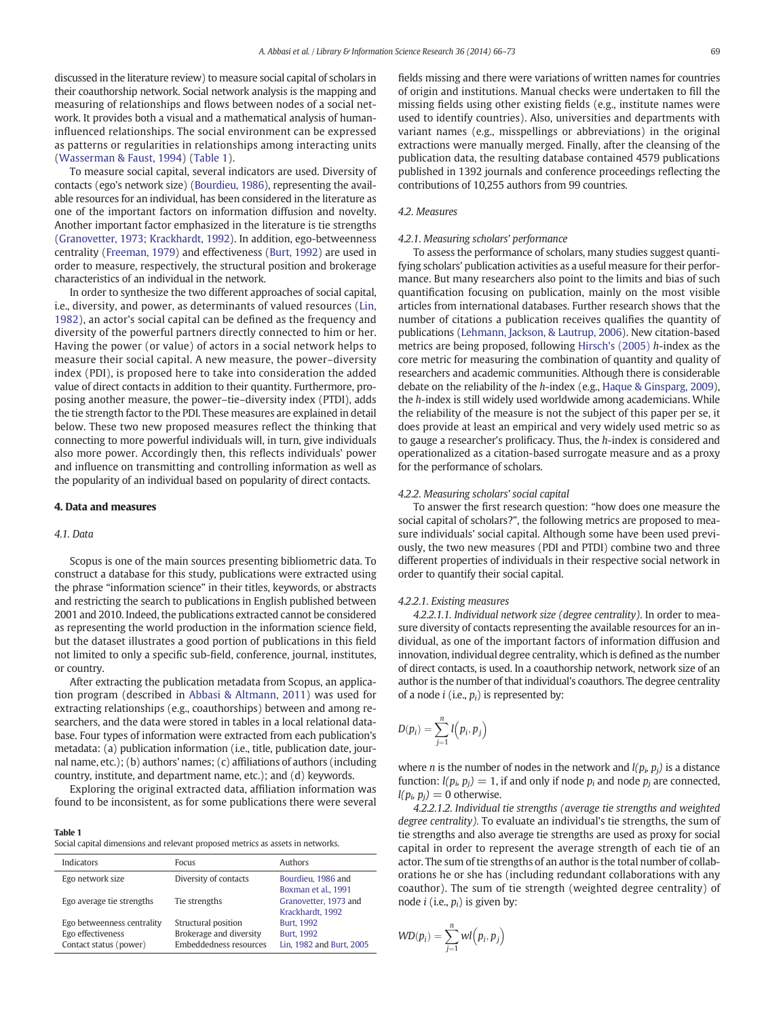discussed in the literature review) to measure social capital of scholars in their coauthorship network. Social network analysis is the mapping and measuring of relationships and flows between nodes of a social network. It provides both a visual and a mathematical analysis of humaninfluenced relationships. The social environment can be expressed as patterns or regularities in relationships among interacting units [\(Wasserman & Faust, 1994\)](#page-6-0) (Table 1).

To measure social capital, several indicators are used. Diversity of contacts (ego's network size) ([Bourdieu, 1986\)](#page-6-0), representing the available resources for an individual, has been considered in the literature as one of the important factors on information diffusion and novelty. Another important factor emphasized in the literature is tie strengths [\(Granovetter, 1973; Krackhardt, 1992](#page-6-0)). In addition, ego-betweenness centrality ([Freeman, 1979\)](#page-6-0) and effectiveness [\(Burt, 1992\)](#page-6-0) are used in order to measure, respectively, the structural position and brokerage characteristics of an individual in the network.

In order to synthesize the two different approaches of social capital, i.e., diversity, and power, as determinants of valued resources [\(Lin,](#page-6-0) [1982](#page-6-0)), an actor's social capital can be defined as the frequency and diversity of the powerful partners directly connected to him or her. Having the power (or value) of actors in a social network helps to measure their social capital. A new measure, the power–diversity index (PDI), is proposed here to take into consideration the added value of direct contacts in addition to their quantity. Furthermore, proposing another measure, the power–tie–diversity index (PTDI), adds the tie strength factor to the PDI. These measures are explained in detail below. These two new proposed measures reflect the thinking that connecting to more powerful individuals will, in turn, give individuals also more power. Accordingly then, this reflects individuals' power and influence on transmitting and controlling information as well as the popularity of an individual based on popularity of direct contacts.

#### 4. Data and measures

#### 4.1. Data

Scopus is one of the main sources presenting bibliometric data. To construct a database for this study, publications were extracted using the phrase "information science" in their titles, keywords, or abstracts and restricting the search to publications in English published between 2001 and 2010. Indeed, the publications extracted cannot be considered as representing the world production in the information science field, but the dataset illustrates a good portion of publications in this field not limited to only a specific sub-field, conference, journal, institutes, or country.

After extracting the publication metadata from Scopus, an application program (described in [Abbasi & Altmann, 2011\)](#page-6-0) was used for extracting relationships (e.g., coauthorships) between and among researchers, and the data were stored in tables in a local relational database. Four types of information were extracted from each publication's metadata: (a) publication information (i.e., title, publication date, journal name, etc.); (b) authors' names; (c) affiliations of authors (including country, institute, and department name, etc.); and (d) keywords.

Exploring the original extracted data, affiliation information was found to be inconsistent, as for some publications there were several

#### Table 1

Social capital dimensions and relevant proposed metrics as assets in networks.

| Indicators                                                                | Focus                                                                    | Authors                                                          |  |  |
|---------------------------------------------------------------------------|--------------------------------------------------------------------------|------------------------------------------------------------------|--|--|
| Ego network size                                                          | Diversity of contacts                                                    | Bourdieu, 1986 and                                               |  |  |
| Ego average tie strengths                                                 | Tie strengths                                                            | Boxman et al., 1991<br>Granovetter, 1973 and<br>Krackhardt, 1992 |  |  |
| Ego betweenness centrality<br>Ego effectiveness<br>Contact status (power) | Structural position<br>Brokerage and diversity<br>Embeddedness resources | Burt, 1992<br>Burt, 1992<br>Lin, 1982 and Burt, 2005             |  |  |

fields missing and there were variations of written names for countries of origin and institutions. Manual checks were undertaken to fill the missing fields using other existing fields (e.g., institute names were used to identify countries). Also, universities and departments with variant names (e.g., misspellings or abbreviations) in the original extractions were manually merged. Finally, after the cleansing of the publication data, the resulting database contained 4579 publications published in 1392 journals and conference proceedings reflecting the contributions of 10,255 authors from 99 countries.

#### 4.2. Measures

#### 4.2.1. Measuring scholars' performance

To assess the performance of scholars, many studies suggest quantifying scholars' publication activities as a useful measure for their performance. But many researchers also point to the limits and bias of such quantification focusing on publication, mainly on the most visible articles from international databases. Further research shows that the number of citations a publication receives qualifies the quantity of publications ([Lehmann, Jackson, & Lautrup, 2006\)](#page-6-0). New citation-based metrics are being proposed, following [Hirsch's \(2005\)](#page-6-0) h-index as the core metric for measuring the combination of quantity and quality of researchers and academic communities. Although there is considerable debate on the reliability of the h-index (e.g., [Haque & Ginsparg, 2009](#page-6-0)), the h-index is still widely used worldwide among academicians. While the reliability of the measure is not the subject of this paper per se, it does provide at least an empirical and very widely used metric so as to gauge a researcher's prolificacy. Thus, the h-index is considered and operationalized as a citation-based surrogate measure and as a proxy for the performance of scholars.

#### 4.2.2. Measuring scholars' social capital

To answer the first research question: "how does one measure the social capital of scholars?", the following metrics are proposed to measure individuals' social capital. Although some have been used previously, the two new measures (PDI and PTDI) combine two and three different properties of individuals in their respective social network in order to quantify their social capital.

#### 4.2.2.1. Existing measures

4.2.2.1.1. Individual network size (degree centrality). In order to measure diversity of contacts representing the available resources for an individual, as one of the important factors of information diffusion and innovation, individual degree centrality, which is defined as the number of direct contacts, is used. In a coauthorship network, network size of an author is the number of that individual's coauthors. The degree centrality of a node *i* (i.e.,  $p_i$ ) is represented by:

$$
D(p_i) = \sum_{j=1}^n l\left(p_i, p_j\right)
$$

where *n* is the number of nodes in the network and  $l(p_i, p_j)$  is a distance function:  $l(p_i, p_j) = 1$ , if and only if node  $p_i$  and node  $p_j$  are connected,  $l(p_i, p_i) = 0$  otherwise.

4.2.2.1.2. Individual tie strengths (average tie strengths and weighted degree centrality). To evaluate an individual's tie strengths, the sum of tie strengths and also average tie strengths are used as proxy for social capital in order to represent the average strength of each tie of an actor. The sum of tie strengths of an author is the total number of collaborations he or she has (including redundant collaborations with any coauthor). The sum of tie strength (weighted degree centrality) of node  $i$  (i.e.,  $p_i$ ) is given by:

$$
WD(p_i)=\sum_{j=1}^nwl(p_i,p_j)
$$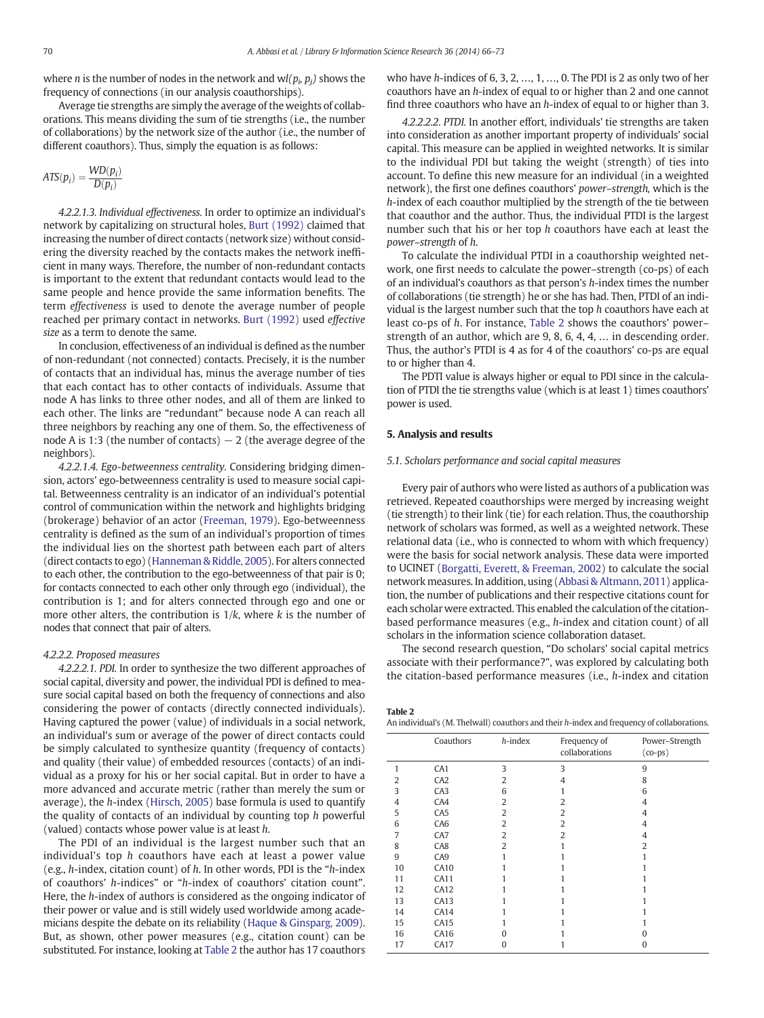where *n* is the number of nodes in the network and  $wl(p_i, p_j)$  shows the frequency of connections (in our analysis coauthorships).

Average tie strengths are simply the average of the weights of collaborations. This means dividing the sum of tie strengths (i.e., the number of collaborations) by the network size of the author (i.e., the number of different coauthors). Thus, simply the equation is as follows:

$$
ATS(p_i) = \frac{WD(p_i)}{D(p_i)}
$$

4.2.2.1.3. Individual effectiveness. In order to optimize an individual's network by capitalizing on structural holes, [Burt \(1992\)](#page-6-0) claimed that increasing the number of direct contacts (network size) without considering the diversity reached by the contacts makes the network inefficient in many ways. Therefore, the number of non-redundant contacts is important to the extent that redundant contacts would lead to the same people and hence provide the same information benefits. The term effectiveness is used to denote the average number of people reached per primary contact in networks. [Burt \(1992\)](#page-6-0) used effective size as a term to denote the same.

In conclusion, effectiveness of an individual is defined as the number of non-redundant (not connected) contacts. Precisely, it is the number of contacts that an individual has, minus the average number of ties that each contact has to other contacts of individuals. Assume that node A has links to three other nodes, and all of them are linked to each other. The links are "redundant" because node A can reach all three neighbors by reaching any one of them. So, the effectiveness of node A is 1:3 (the number of contacts)  $-2$  (the average degree of the neighbors).

4.2.2.1.4. Ego-betweenness centrality. Considering bridging dimension, actors' ego-betweenness centrality is used to measure social capital. Betweenness centrality is an indicator of an individual's potential control of communication within the network and highlights bridging (brokerage) behavior of an actor ([Freeman, 1979](#page-6-0)). Ego-betweenness centrality is defined as the sum of an individual's proportion of times the individual lies on the shortest path between each part of alters (direct contacts to ego) [\(Hanneman & Riddle, 2005\)](#page-6-0). For alters connected to each other, the contribution to the ego-betweenness of that pair is 0; for contacts connected to each other only through ego (individual), the contribution is 1; and for alters connected through ego and one or more other alters, the contribution is  $1/k$ , where k is the number of nodes that connect that pair of alters.

#### 4.2.2.2. Proposed measures

4.2.2.2.1. PDI. In order to synthesize the two different approaches of social capital, diversity and power, the individual PDI is defined to measure social capital based on both the frequency of connections and also considering the power of contacts (directly connected individuals). Having captured the power (value) of individuals in a social network, an individual's sum or average of the power of direct contacts could be simply calculated to synthesize quantity (frequency of contacts) and quality (their value) of embedded resources (contacts) of an individual as a proxy for his or her social capital. But in order to have a more advanced and accurate metric (rather than merely the sum or average), the h-index [\(Hirsch, 2005\)](#page-6-0) base formula is used to quantify the quality of contacts of an individual by counting top  $h$  powerful (valued) contacts whose power value is at least h.

The PDI of an individual is the largest number such that an individual's top h coauthors have each at least a power value (e.g., h-index, citation count) of h. In other words, PDI is the "h-index of coauthors' h-indices" or "h-index of coauthors' citation count". Here, the h-index of authors is considered as the ongoing indicator of their power or value and is still widely used worldwide among academicians despite the debate on its reliability [\(Haque & Ginsparg, 2009\)](#page-6-0). But, as shown, other power measures (e.g., citation count) can be substituted. For instance, looking at Table 2 the author has 17 coauthors

who have h-indices of 6, 3, 2, …, 1, …, 0. The PDI is 2 as only two of her coauthors have an h-index of equal to or higher than 2 and one cannot find three coauthors who have an h-index of equal to or higher than 3.

4.2.2.2.2. PTDI. In another effort, individuals' tie strengths are taken into consideration as another important property of individuals' social capital. This measure can be applied in weighted networks. It is similar to the individual PDI but taking the weight (strength) of ties into account. To define this new measure for an individual (in a weighted network), the first one defines coauthors' power–strength, which is the h-index of each coauthor multiplied by the strength of the tie between that coauthor and the author. Thus, the individual PTDI is the largest number such that his or her top h coauthors have each at least the power–strength of h.

To calculate the individual PTDI in a coauthorship weighted network, one first needs to calculate the power–strength (co-ps) of each of an individual's coauthors as that person's h-index times the number of collaborations (tie strength) he or she has had. Then, PTDI of an individual is the largest number such that the top  $h$  coauthors have each at least co-ps of h. For instance, Table 2 shows the coauthors' power– strength of an author, which are 9, 8, 6, 4, 4, … in descending order. Thus, the author's PTDI is 4 as for 4 of the coauthors' co-ps are equal to or higher than 4.

The PDTI value is always higher or equal to PDI since in the calculation of PTDI the tie strengths value (which is at least 1) times coauthors' power is used.

#### 5. Analysis and results

#### 5.1. Scholars performance and social capital measures

Every pair of authors who were listed as authors of a publication was retrieved. Repeated coauthorships were merged by increasing weight (tie strength) to their link (tie) for each relation. Thus, the coauthorship network of scholars was formed, as well as a weighted network. These relational data (i.e., who is connected to whom with which frequency) were the basis for social network analysis. These data were imported to UCINET [\(Borgatti, Everett, & Freeman, 2002\)](#page-6-0) to calculate the social network measures. In addition, using ([Abbasi & Altmann, 2011](#page-6-0)) application, the number of publications and their respective citations count for each scholar were extracted. This enabled the calculation of the citationbased performance measures (e.g., h-index and citation count) of all scholars in the information science collaboration dataset.

The second research question, "Do scholars' social capital metrics associate with their performance?", was explored by calculating both the citation-based performance measures (i.e., h-index and citation

Table 2

An individual's (M. Thelwall) coauthors and their h-index and frequency of collaborations.

|                | Coauthors       | $h$ -index     | Frequency of<br>collaborations | Power-Strength<br>$(co-ps)$ |
|----------------|-----------------|----------------|--------------------------------|-----------------------------|
|                | CA1             | 3              | 3                              | 9                           |
| $\overline{2}$ | CA <sub>2</sub> | 2              | 4                              | 8                           |
| 3              | CA <sub>3</sub> | 6              |                                | 6                           |
| 4              | CA4             | 2              | 2                              | 4                           |
| 5              | CA <sub>5</sub> | $\overline{2}$ | $\overline{2}$                 | 4                           |
| 6              | CA <sub>6</sub> | 2              | $\overline{2}$                 | 4                           |
| 7              | CA7             | $\overline{2}$ | $\overline{2}$                 | 4                           |
| 8              | CA <sub>8</sub> | $\overline{2}$ |                                | $\mathfrak{D}$              |
| 9              | CA <sub>9</sub> |                |                                |                             |
| 10             | <b>CA10</b>     |                |                                |                             |
| 11             | CA11            |                |                                |                             |
| 12             | CA12            |                |                                |                             |
| 13             | CA13            |                |                                |                             |
| 14             | <b>CA14</b>     |                |                                |                             |
| 15             | CA15            |                |                                |                             |
| 16             | CA16            | n              |                                |                             |
| 17             | <b>CA17</b>     | O              |                                | O                           |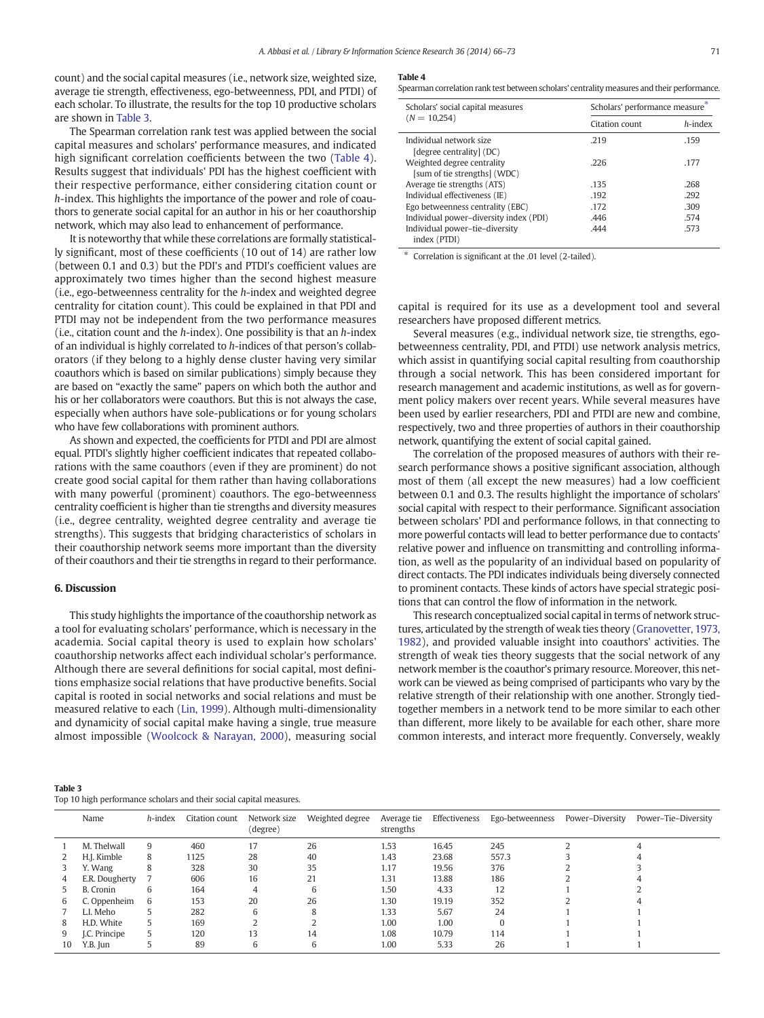count) and the social capital measures (i.e., network size, weighted size, average tie strength, effectiveness, ego-betweenness, PDI, and PTDI) of each scholar. To illustrate, the results for the top 10 productive scholars are shown in Table 3.

The Spearman correlation rank test was applied between the social capital measures and scholars' performance measures, and indicated high significant correlation coefficients between the two (Table 4). Results suggest that individuals' PDI has the highest coefficient with their respective performance, either considering citation count or h-index. This highlights the importance of the power and role of coauthors to generate social capital for an author in his or her coauthorship network, which may also lead to enhancement of performance.

It is noteworthy that while these correlations are formally statistically significant, most of these coefficients (10 out of 14) are rather low (between 0.1 and 0.3) but the PDI's and PTDI's coefficient values are approximately two times higher than the second highest measure (i.e., ego-betweenness centrality for the h-index and weighted degree centrality for citation count). This could be explained in that PDI and PTDI may not be independent from the two performance measures (i.e., citation count and the  $h$ -index). One possibility is that an  $h$ -index of an individual is highly correlated to h-indices of that person's collaborators (if they belong to a highly dense cluster having very similar coauthors which is based on similar publications) simply because they are based on "exactly the same" papers on which both the author and his or her collaborators were coauthors. But this is not always the case, especially when authors have sole-publications or for young scholars who have few collaborations with prominent authors.

As shown and expected, the coefficients for PTDI and PDI are almost equal. PTDI's slightly higher coefficient indicates that repeated collaborations with the same coauthors (even if they are prominent) do not create good social capital for them rather than having collaborations with many powerful (prominent) coauthors. The ego-betweenness centrality coefficient is higher than tie strengths and diversity measures (i.e., degree centrality, weighted degree centrality and average tie strengths). This suggests that bridging characteristics of scholars in their coauthorship network seems more important than the diversity of their coauthors and their tie strengths in regard to their performance.

#### 6. Discussion

This study highlights the importance of the coauthorship network as a tool for evaluating scholars' performance, which is necessary in the academia. Social capital theory is used to explain how scholars' coauthorship networks affect each individual scholar's performance. Although there are several definitions for social capital, most definitions emphasize social relations that have productive benefits. Social capital is rooted in social networks and social relations and must be measured relative to each [\(Lin, 1999](#page-6-0)). Although multi-dimensionality and dynamicity of social capital make having a single, true measure almost impossible ([Woolcock & Narayan, 2000](#page-7-0)), measuring social

#### Table 4

Spearman correlation rank test between scholars' centrality measures and their performance.

| Scholars' social capital measures                          | Scholars' performance measure |            |  |  |
|------------------------------------------------------------|-------------------------------|------------|--|--|
| $(N = 10,254)$                                             | Citation count                | $h$ -index |  |  |
| Individual network size<br>[degree centrality] (DC)        | .219                          | .159       |  |  |
| Weighted degree centrality<br>[sum of tie strengths] (WDC) | .226                          | .177       |  |  |
| Average tie strengths (ATS)                                | .135                          | .268       |  |  |
| Individual effectiveness (IE)                              | .192                          | .292       |  |  |
| Ego betweenness centrality (EBC)                           | .172                          | .309       |  |  |
| Individual power-diversity index (PDI)                     | .446                          | .574       |  |  |
| Individual power-tie-diversity<br>index (PTDI)             | .444                          | .573       |  |  |

⁎ Correlation is significant at the .01 level (2-tailed).

capital is required for its use as a development tool and several researchers have proposed different metrics.

Several measures (e.g., individual network size, tie strengths, egobetweenness centrality, PDI, and PTDI) use network analysis metrics, which assist in quantifying social capital resulting from coauthorship through a social network. This has been considered important for research management and academic institutions, as well as for government policy makers over recent years. While several measures have been used by earlier researchers, PDI and PTDI are new and combine, respectively, two and three properties of authors in their coauthorship network, quantifying the extent of social capital gained.

The correlation of the proposed measures of authors with their research performance shows a positive significant association, although most of them (all except the new measures) had a low coefficient between 0.1 and 0.3. The results highlight the importance of scholars' social capital with respect to their performance. Significant association between scholars' PDI and performance follows, in that connecting to more powerful contacts will lead to better performance due to contacts' relative power and influence on transmitting and controlling information, as well as the popularity of an individual based on popularity of direct contacts. The PDI indicates individuals being diversely connected to prominent contacts. These kinds of actors have special strategic positions that can control the flow of information in the network.

This research conceptualized social capital in terms of network structures, articulated by the strength of weak ties theory [\(Granovetter, 1973,](#page-6-0) [1982\)](#page-6-0), and provided valuable insight into coauthors' activities. The strength of weak ties theory suggests that the social network of any network member is the coauthor's primary resource. Moreover, this network can be viewed as being comprised of participants who vary by the relative strength of their relationship with one another. Strongly tiedtogether members in a network tend to be more similar to each other than different, more likely to be available for each other, share more common interests, and interact more frequently. Conversely, weakly

| Table 3                                                             |  |
|---------------------------------------------------------------------|--|
| Top 10 high performance scholars and their social capital measures. |  |

|    | Name             | $h$ -index | Citation count | Network size<br>(degree) | Weighted degree | Average tie<br>strengths | Effectiveness | Ego-betweenness | Power-Diversity | Power-Tie-Diversity |
|----|------------------|------------|----------------|--------------------------|-----------------|--------------------------|---------------|-----------------|-----------------|---------------------|
|    | M. Thelwall      | 9          | 460            | 17                       | 26              | 1.53                     | 16.45         | 245             |                 |                     |
|    | H.J. Kimble      | 8          | 1125           | 28                       | 40              | 1.43                     | 23.68         | 557.3           |                 |                     |
|    | Y. Wang          | 8          | 328            | 30                       | 35              | 1.17                     | 19.56         | 376             |                 |                     |
|    | E.R. Dougherty   |            | 606            | 16                       | 21              | 1.31                     | 13.88         | 186             |                 |                     |
|    | <b>B.</b> Cronin | 6          | 164            | 4                        | 6               | 1.50                     | 4.33          | 12              |                 |                     |
| b  | C. Oppenheim     | 6          | 153            | 20                       | 26              | 1.30                     | 19.19         | 352             |                 |                     |
|    | L.I. Meho        | 5          | 282            | 6                        | 8               | 1.33                     | 5.67          | 24              |                 |                     |
| 8  | H.D. White       | 5          | 169            |                          |                 | 1.00                     | 1.00          | $\sqrt{ }$      |                 |                     |
|    | J.C. Principe    | 5          | 120            | 13                       | 14              | 1.08                     | 10.79         | 114             |                 |                     |
| 10 | Y.B. Jun         |            | 89             | b                        |                 | 1.00                     | 5.33          | 26              |                 |                     |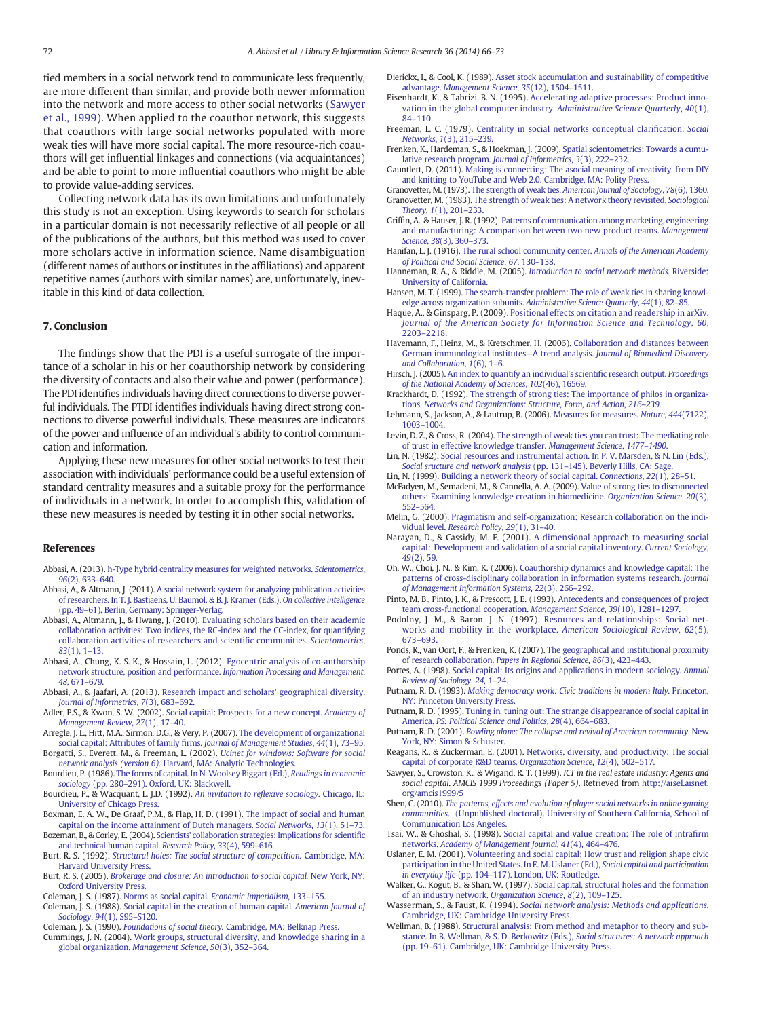<span id="page-6-0"></span>tied members in a social network tend to communicate less frequently, are more different than similar, and provide both newer information into the network and more access to other social networks (Sawyer et al., 1999). When applied to the coauthor network, this suggests that coauthors with large social networks populated with more weak ties will have more social capital. The more resource-rich coauthors will get influential linkages and connections (via acquaintances) and be able to point to more influential coauthors who might be able to provide value-adding services.

Collecting network data has its own limitations and unfortunately this study is not an exception. Using keywords to search for scholars in a particular domain is not necessarily reflective of all people or all of the publications of the authors, but this method was used to cover more scholars active in information science. Name disambiguation (different names of authors or institutes in the affiliations) and apparent repetitive names (authors with similar names) are, unfortunately, inevitable in this kind of data collection.

#### 7. Conclusion

The findings show that the PDI is a useful surrogate of the importance of a scholar in his or her coauthorship network by considering the diversity of contacts and also their value and power (performance). The PDI identifies individuals having direct connections to diverse powerful individuals. The PTDI identifies individuals having direct strong connections to diverse powerful individuals. These measures are indicators of the power and influence of an individual's ability to control communication and information.

Applying these new measures for other social networks to test their association with individuals' performance could be a useful extension of standard centrality measures and a suitable proxy for the performance of individuals in a network. In order to accomplish this, validation of these new measures is needed by testing it in other social networks.

#### References

- Abbasi, A. (2013). [h-Type hybrid centrality measures for weighted networks.](http://refhub.elsevier.com/S0740-8188(14)00004-8/rf0005) Scientometrics, 96[\(2\), 633](http://refhub.elsevier.com/S0740-8188(14)00004-8/rf0005)–640.
- Abbasi, A., & Altmann, J. (2011). [A social network system for analyzing publication activities](http://refhub.elsevier.com/S0740-8188(14)00004-8/rf0010) [of researchers. In T. J. Bastiaens, U. Baumol, & B. J. Kramer \(Eds.\),](http://refhub.elsevier.com/S0740-8188(14)00004-8/rf0010) On collective intelligence (pp. 49–[61\). Berlin, Germany: Springer-Verlag.](http://refhub.elsevier.com/S0740-8188(14)00004-8/rf0010)
- Abbasi, A., Altmann, J., & Hwang, J. (2010). [Evaluating scholars based on their academic](http://refhub.elsevier.com/S0740-8188(14)00004-8/rf0015) [collaboration activities: Two indices, the RC-index and the CC-index, for quantifying](http://refhub.elsevier.com/S0740-8188(14)00004-8/rf0015) [collaboration activities of researchers and scienti](http://refhub.elsevier.com/S0740-8188(14)00004-8/rf0015)fic communities. Scientometrics, 83[\(1\), 1](http://refhub.elsevier.com/S0740-8188(14)00004-8/rf0015)–13.
- Abbasi, A., Chung, K. S. K., & Hossain, L. (2012). [Egocentric analysis of co-authorship](http://refhub.elsevier.com/S0740-8188(14)00004-8/rf0020) [network structure, position and performance.](http://refhub.elsevier.com/S0740-8188(14)00004-8/rf0020) Information Processing and Management, 48[, 671](http://refhub.elsevier.com/S0740-8188(14)00004-8/rf0020)–679.
- Abbasi, A., & Jaafari, A. (2013). [Research impact and scholars' geographical diversity.](http://refhub.elsevier.com/S0740-8188(14)00004-8/rf0025) [Journal of Informetrics](http://refhub.elsevier.com/S0740-8188(14)00004-8/rf0025), 7(3), 683–692.
- Adler, P.S., & Kwon, S. W. (2002). [Social capital: Prospects for a new concept.](http://refhub.elsevier.com/S0740-8188(14)00004-8/rf0030) Academy of [Management Review](http://refhub.elsevier.com/S0740-8188(14)00004-8/rf0030), 27(1), 17–40.
- Arregle, J. L., Hitt, M.A., Sirmon, D.G., & Very, P. (2007). [The development of organizational](http://refhub.elsevier.com/S0740-8188(14)00004-8/rf0035) [social capital: Attributes of family](http://refhub.elsevier.com/S0740-8188(14)00004-8/rf0035) firms. Journal of Management Studies, 44(1), 73-95.
- Borgatti, S., Everett, M., & Freeman, L. (2002). [Ucinet for windows: Software for social](http://refhub.elsevier.com/S0740-8188(14)00004-8/rf0040) network analysis (version 6). [Harvard, MA: Analytic Technologies.](http://refhub.elsevier.com/S0740-8188(14)00004-8/rf0040)
- Bourdieu, P. (1986). [The forms of capital. In N. Woolsey Biggart \(Ed.\),](http://refhub.elsevier.com/S0740-8188(14)00004-8/rf0045) Readings in economic sociology (pp. 280–[291\). Oxford, UK: Blackwell.](http://refhub.elsevier.com/S0740-8188(14)00004-8/rf0045)
- Bourdieu, P., & Wacquant, L. J.D. (1992). [An invitation to re](http://refhub.elsevier.com/S0740-8188(14)00004-8/rf0050)flexive sociology. Chicago, IL: [University of Chicago Press.](http://refhub.elsevier.com/S0740-8188(14)00004-8/rf0050)
- Boxman, E. A. W., De Graaf, P.M., & Flap, H. D. (1991). [The impact of social and human](http://refhub.elsevier.com/S0740-8188(14)00004-8/rf0055) [capital on the income attainment of Dutch managers.](http://refhub.elsevier.com/S0740-8188(14)00004-8/rf0055) Social Networks, 13(1), 51–73.
- Bozeman, B., & Corley, E. (2004). [Scientists' collaboration strategies: Implications for scienti](http://refhub.elsevier.com/S0740-8188(14)00004-8/rf0060)fic [and technical human capital.](http://refhub.elsevier.com/S0740-8188(14)00004-8/rf0060) Research Policy, 33(4), 599–616.
- Burt, R. S. (1992). [Structural holes: The social structure of competition.](http://refhub.elsevier.com/S0740-8188(14)00004-8/rf0065) Cambridge, MA: [Harvard University Press.](http://refhub.elsevier.com/S0740-8188(14)00004-8/rf0065)
- Burt, R. S. (2005). [Brokerage and closure: An introduction to social capital.](http://refhub.elsevier.com/S0740-8188(14)00004-8/rf0070) New York, NY: [Oxford University Press.](http://refhub.elsevier.com/S0740-8188(14)00004-8/rf0070)
- Coleman, J. S. (1987). [Norms as social capital.](http://refhub.elsevier.com/S0740-8188(14)00004-8/rf0075) Economic Imperialism, 133–155.
- Coleman, J. S. (1988). [Social capital in the creation of human capital.](http://refhub.elsevier.com/S0740-8188(14)00004-8/rf0080) American Journal of [Sociology](http://refhub.elsevier.com/S0740-8188(14)00004-8/rf0080), 94(1), S95–S120.
- Coleman, J. S. (1990). Foundations of social theory. [Cambridge, MA: Belknap Press.](http://refhub.elsevier.com/S0740-8188(14)00004-8/rf0085)
- Cummings, J. N. (2004). [Work groups, structural diversity, and knowledge sharing in a](http://refhub.elsevier.com/S0740-8188(14)00004-8/rf0090) global organization. [Management Science](http://refhub.elsevier.com/S0740-8188(14)00004-8/rf0090), 50(3), 352–364.
- Dierickx, I., & Cool, K. (1989). [Asset stock accumulation and sustainability of competitive](http://refhub.elsevier.com/S0740-8188(14)00004-8/rf0095) advantage. [Management Science](http://refhub.elsevier.com/S0740-8188(14)00004-8/rf0095), 35(12), 1504–1511.
- Eisenhardt, K., & Tabrizi, B. N. (1995). [Accelerating adaptive processes: Product inno](http://refhub.elsevier.com/S0740-8188(14)00004-8/rf0100)[vation in the global computer industry.](http://refhub.elsevier.com/S0740-8188(14)00004-8/rf0100) Administrative Science Quarterly, 40(1), 84–[110.](http://refhub.elsevier.com/S0740-8188(14)00004-8/rf0100)
- Freeman, L. C. (1979). [Centrality in social networks conceptual clari](http://refhub.elsevier.com/S0740-8188(14)00004-8/rf0110)fication. Social [Networks](http://refhub.elsevier.com/S0740-8188(14)00004-8/rf0110), 1(3), 215–239.
- Frenken, K., Hardeman, S., & Hoekman, J. (2009). [Spatial scientometrics: Towards a cumu](http://refhub.elsevier.com/S0740-8188(14)00004-8/rf0105)[lative research program.](http://refhub.elsevier.com/S0740-8188(14)00004-8/rf0105) Journal of Informetrics, 3(3), 222–232.
- Gauntlett, D. (2011). [Making is connecting: The asocial meaning of creativity, from DIY](http://refhub.elsevier.com/S0740-8188(14)00004-8/rf0290) [and knitting to YouTube and Web 2.0. Cambridge, MA: Polity Press.](http://refhub.elsevier.com/S0740-8188(14)00004-8/rf0290)
- Granovetter, M. (1973). The strength of weak ties. [American Journal of Sociology](http://refhub.elsevier.com/S0740-8188(14)00004-8/rf0115), 78(6), 1360. Granovetter, M. (1983). [The strength of weak ties: A network theory revisited.](http://refhub.elsevier.com/S0740-8188(14)00004-8/rf0120) Sociological Theory, 1[\(1\), 201](http://refhub.elsevier.com/S0740-8188(14)00004-8/rf0120)–233.
- Griffin, A., & Hauser, J. R. (1992). [Patterns of communication among marketing, engineering](http://refhub.elsevier.com/S0740-8188(14)00004-8/rf0125) [and manufacturing: A comparison between two new product teams.](http://refhub.elsevier.com/S0740-8188(14)00004-8/rf0125) Management Science, 38[\(3\), 360](http://refhub.elsevier.com/S0740-8188(14)00004-8/rf0125)–373.
- Hanifan, L. J. (1916). [The rural school community center.](http://refhub.elsevier.com/S0740-8188(14)00004-8/rf0130) Annals of the American Academy [of Political and Social Science](http://refhub.elsevier.com/S0740-8188(14)00004-8/rf0130), 67, 130–138.
- Hanneman, R. A., & Riddle, M. (2005). [Introduction to social network methods.](http://refhub.elsevier.com/S0740-8188(14)00004-8/rf0135) Riverside: [University of California.](http://refhub.elsevier.com/S0740-8188(14)00004-8/rf0135)
- Hansen, M. T. (1999). [The search-transfer problem: The role of weak ties in sharing knowl](http://refhub.elsevier.com/S0740-8188(14)00004-8/rf0140)[edge across organization subunits.](http://refhub.elsevier.com/S0740-8188(14)00004-8/rf0140) Administrative Science Quarterly, 44(1), 82–85.
- Haque, A., & Ginsparg, P. (2009). [Positional effects on citation and readership in arXiv.](http://refhub.elsevier.com/S0740-8188(14)00004-8/rf0145) [Journal of the American Society for Information Science and Technology](http://refhub.elsevier.com/S0740-8188(14)00004-8/rf0145), 60, 2203–[2218.](http://refhub.elsevier.com/S0740-8188(14)00004-8/rf0145)
- Havemann, F., Heinz, M., & Kretschmer, H. (2006). [Collaboration and distances between](http://refhub.elsevier.com/S0740-8188(14)00004-8/rf0150) [German immunological institutes](http://refhub.elsevier.com/S0740-8188(14)00004-8/rf0150)—A trend analysis. Journal of Biomedical Discovery [and Collaboration](http://refhub.elsevier.com/S0740-8188(14)00004-8/rf0150), 1(6), 1–6.
- Hirsch, J. (2005). [An index to quantify an individual's scienti](http://refhub.elsevier.com/S0740-8188(14)00004-8/rf0155)fic research output. Proceedings [of the National Academy of Sciences](http://refhub.elsevier.com/S0740-8188(14)00004-8/rf0155), 102(46), 16569.
- Krackhardt, D. (1992). [The strength of strong ties: The importance of philos in organiza](http://refhub.elsevier.com/S0740-8188(14)00004-8/rf0160)tions. [Networks and Organizations: Structure, Form, and Action](http://refhub.elsevier.com/S0740-8188(14)00004-8/rf0160), 216–239.
- Lehmann, S., Jackson, A., & Lautrup, B. (2006). [Measures for measures.](http://refhub.elsevier.com/S0740-8188(14)00004-8/rf0165) Nature, 444(7122), 1003–[1004.](http://refhub.elsevier.com/S0740-8188(14)00004-8/rf0165)
- Levin, D. Z., & Cross, R. (2004). [The strength of weak ties you can trust: The mediating role](http://refhub.elsevier.com/S0740-8188(14)00004-8/rf0170) [of trust in effective knowledge transfer.](http://refhub.elsevier.com/S0740-8188(14)00004-8/rf0170) Management Science, 1477–1490.
- Lin, N. (1982). [Social resources and instrumental action. In P. V. Marsden, & N. Lin \(Eds.\),](http://refhub.elsevier.com/S0740-8188(14)00004-8/rf0175) [Social sructure and network analysis](http://refhub.elsevier.com/S0740-8188(14)00004-8/rf0175) (pp. 131–145). Beverly Hills, CA: Sage.
- Lin, N. (1999). [Building a network theory of social capital.](http://refhub.elsevier.com/S0740-8188(14)00004-8/rf0180) Connections, 22(1), 28–51. McFadyen, M., Semadeni, M., & Cannella, A. A. (2009). [Value of strong ties to disconnected](http://refhub.elsevier.com/S0740-8188(14)00004-8/rf0185)
- [others: Examining knowledge creation in biomedicine.](http://refhub.elsevier.com/S0740-8188(14)00004-8/rf0185) Organization Science, 20(3), 552–[564.](http://refhub.elsevier.com/S0740-8188(14)00004-8/rf0185) Melin, G. (2000). [Pragmatism and self-organization: Research collaboration on the indi-](http://refhub.elsevier.com/S0740-8188(14)00004-8/rf0190)
- vidual level. [Research Policy](http://refhub.elsevier.com/S0740-8188(14)00004-8/rf0190), 29(1), 31–40.
- Narayan, D., & Cassidy, M. F. (2001). [A dimensional approach to measuring social](http://refhub.elsevier.com/S0740-8188(14)00004-8/rf0195) [capital: Development and validation of a social capital inventory.](http://refhub.elsevier.com/S0740-8188(14)00004-8/rf0195) Current Sociology, 49[\(2\), 59.](http://refhub.elsevier.com/S0740-8188(14)00004-8/rf0195)
- Oh, W., Choi, J. N., & Kim, K. (2006). [Coauthorship dynamics and knowledge capital: The](http://refhub.elsevier.com/S0740-8188(14)00004-8/rf0200) [patterns of cross-disciplinary collaboration in information systems research.](http://refhub.elsevier.com/S0740-8188(14)00004-8/rf0200) Journal [of Management Information Systems](http://refhub.elsevier.com/S0740-8188(14)00004-8/rf0200), 22(3), 266–292.
- Pinto, M. B., Pinto, J. K., & Prescott, J. E. (1993). [Antecedents and consequences of project](http://refhub.elsevier.com/S0740-8188(14)00004-8/rf0205) [team cross-functional cooperation.](http://refhub.elsevier.com/S0740-8188(14)00004-8/rf0205) Management Science, 39(10), 1281–1297.
- Podolny, J. M., & Baron, J. N. (1997). [Resources and relationships: Social net](http://refhub.elsevier.com/S0740-8188(14)00004-8/rf0210)[works and mobility in the workplace.](http://refhub.elsevier.com/S0740-8188(14)00004-8/rf0210) American Sociological Review, 62(5), 673–[693.](http://refhub.elsevier.com/S0740-8188(14)00004-8/rf0210)
- Ponds, R., van Oort, F., & Frenken, K. (2007). [The geographical and institutional proximity](http://refhub.elsevier.com/S0740-8188(14)00004-8/rf0215) of research collaboration. [Papers in Regional Science](http://refhub.elsevier.com/S0740-8188(14)00004-8/rf0215), 86(3), 423–443.
- Portes, A. (1998). [Social capital: Its origins and applications in modern sociology.](http://refhub.elsevier.com/S0740-8188(14)00004-8/rf0220) Annual [Review of Sociology](http://refhub.elsevier.com/S0740-8188(14)00004-8/rf0220), 24, 1–24.
- Putnam, R. D. (1993). [Making democracy work: Civic traditions in modern Italy.](http://refhub.elsevier.com/S0740-8188(14)00004-8/rf0225) Princeton, [NY: Princeton University Press.](http://refhub.elsevier.com/S0740-8188(14)00004-8/rf0225)
- Putnam, R. D. (1995). [Tuning in, tuning out: The strange disappearance of social capital in](http://refhub.elsevier.com/S0740-8188(14)00004-8/rf0230) America. [PS: Political Science and Politics](http://refhub.elsevier.com/S0740-8188(14)00004-8/rf0230), 28(4), 664–683.
- Putnam, R. D. (2001). [Bowling alone: The collapse and revival of American community.](http://refhub.elsevier.com/S0740-8188(14)00004-8/rf0235) New [York, NY: Simon & Schuster.](http://refhub.elsevier.com/S0740-8188(14)00004-8/rf0235)
- Reagans, R., & Zuckerman, E. (2001). [Networks, diversity, and productivity: The social](http://refhub.elsevier.com/S0740-8188(14)00004-8/rf0240) [capital of corporate R&D teams.](http://refhub.elsevier.com/S0740-8188(14)00004-8/rf0240) Organization Science, 12(4), 502–517.
- Sawyer, S., Crowston, K., & Wigand, R. T. (1999). ICT in the real estate industry: Agents and social capital. AMCIS 1999 Proceedings (Paper 5). Retrieved from [http://aisel.aisnet.](http://aisel.aisnet.org/amcis1999/5) [org/amcis1999/5](http://aisel.aisnet.org/amcis1999/5)
- Shen, C. (2010). [The patterns, effects and evolution of player social networks in online gaming](http://refhub.elsevier.com/S0740-8188(14)00004-8/rf0300) communities[. \(Unpublished doctoral\). University of Southern California, School of](http://refhub.elsevier.com/S0740-8188(14)00004-8/rf0300) [Communication Los Angeles.](http://refhub.elsevier.com/S0740-8188(14)00004-8/rf0300)
- Tsai, W., & Ghoshal, S. (1998). [Social capital and value creation: The role of intra](http://refhub.elsevier.com/S0740-8188(14)00004-8/rf0250)firm networks. [Academy of Management Journal](http://refhub.elsevier.com/S0740-8188(14)00004-8/rf0250), 41(4), 464–476.
- Uslaner, E. M. (2001). [Volunteering and social capital: How trust and religion shape civic](http://refhub.elsevier.com/S0740-8188(14)00004-8/rf0255) [participation in the United States. In E. M. Uslaner \(Ed.\),](http://refhub.elsevier.com/S0740-8188(14)00004-8/rf0255) Social capital and participation in everyday life (pp. 104–[117\). London, UK: Routledge.](http://refhub.elsevier.com/S0740-8188(14)00004-8/rf0255)
- Walker, G., Kogut, B., & Shan, W. (1997). [Social capital, structural holes and the formation](http://refhub.elsevier.com/S0740-8188(14)00004-8/rf0260) [of an industry network.](http://refhub.elsevier.com/S0740-8188(14)00004-8/rf0260) Organization Science, 8(2), 109–125.
- Wasserman, S., & Faust, K. (1994). [Social network analysis: Methods and applications.](http://refhub.elsevier.com/S0740-8188(14)00004-8/rf0265) [Cambridge, UK: Cambridge University Press.](http://refhub.elsevier.com/S0740-8188(14)00004-8/rf0265)
- Wellman, B. (1988). [Structural analysis: From method and metaphor to theory and sub](http://refhub.elsevier.com/S0740-8188(14)00004-8/rf0270)[stance. In B. Wellman, & S. D. Berkowitz \(Eds.\),](http://refhub.elsevier.com/S0740-8188(14)00004-8/rf0270) Social structures: A network approach (pp. 19–[61\). Cambridge, UK: Cambridge University Press.](http://refhub.elsevier.com/S0740-8188(14)00004-8/rf0270)